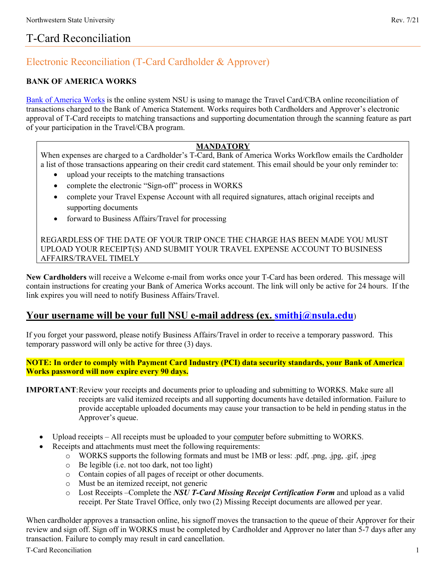# T-Card Reconciliation

## Electronic Reconciliation (T-Card Cardholder & Approver)

#### **BANK OF AMERICA WORKS**

[Bank of America Works](https://payment2.works.com/) is the online system NSU is using to manage the Travel Card/CBA online reconciliation of transactions charged to the Bank of America Statement. Works requires both Cardholders and Approver's electronic approval of T-Card receipts to matching transactions and supporting documentation through the scanning feature as part of your participation in the Travel/CBA program.

#### **MANDATORY**

When expenses are charged to a Cardholder's T-Card, Bank of America Works Workflow emails the Cardholder a list of those transactions appearing on their credit card statement. This email should be your only reminder to:

- upload your receipts to the matching transactions
- complete the electronic "Sign-off" process in WORKS
- complete your Travel Expense Account with all required signatures, attach original receipts and supporting documents
- forward to Business Affairs/Travel for processing

REGARDLESS OF THE DATE OF YOUR TRIP ONCE THE CHARGE HAS BEEN MADE YOU MUST UPLOAD YOUR RECEIPT(S) AND SUBMIT YOUR TRAVEL EXPENSE ACCOUNT TO BUSINESS AFFAIRS/TRAVEL TIMELY

**New Cardholders** will receive a Welcome e-mail from works once your T-Card has been ordered. This message will contain instructions for creating your Bank of America Works account. The link will only be active for 24 hours. If the link expires you will need to notify Business Affairs/Travel.

### **Your username will be your full NSU e-mail address (ex. [smithj@nsula.edu](mailto:smithj@nsula.edu)**)

If you forget your password, please notify Business Affairs/Travel in order to receive a temporary password. This temporary password will only be active for three (3) days.

#### **NOTE: In order to comply with Payment Card Industry (PCI) data security standards, your Bank of America Works password will now expire every 90 days.**

- **IMPORTANT**:Review your receipts and documents prior to uploading and submitting to WORKS. Make sure all receipts are valid itemized receipts and all supporting documents have detailed information. Failure to provide acceptable uploaded documents may cause your transaction to be held in pending status in the Approver's queue.
	- Upload receipts All receipts must be uploaded to your <u>computer</u> before submitting to WORKS.
	- Receipts and attachments must meet the following requirements:
		- o WORKS supports the following formats and must be 1MB or less: .pdf, .png, .jpg, .gif, .jpeg
		- o Be legible (i.e. not too dark, not too light)
		- o Contain copies of all pages of receipt or other documents.
		- o Must be an itemized receipt, not generic
		- o Lost Receipts –Complete the *NSU T-Card Missing Receipt Certification Form* and upload as a valid receipt. Per State Travel Office, only two (2) Missing Receipt documents are allowed per year.

When cardholder approves a transaction online, his signoff moves the transaction to the queue of their Approver for their review and sign off. Sign off in WORKS must be completed by Cardholder and Approver no later than 5-7 days after any transaction. Failure to comply may result in card cancellation.